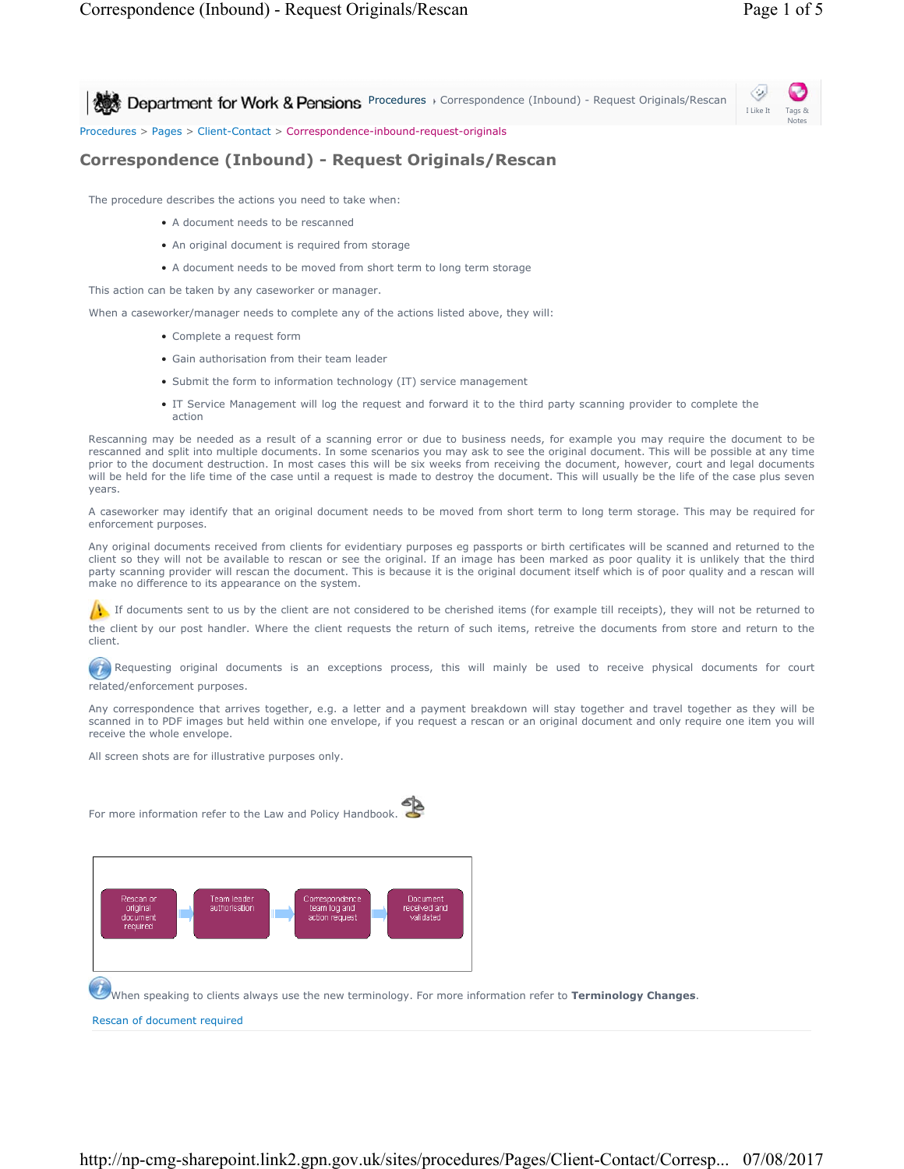Notes

I Like It

**Procedures > Correspondence (Inbound) - Request Originals/Rescan** 

Procedures > Pages > Client-Contact > Correspondence-inbound-request-originals

## **Correspondence (Inbound) - Request Originals/Rescan**

The procedure describes the actions you need to take when:

- A document needs to be rescanned
- An original document is required from storage
- A document needs to be moved from short term to long term storage

This action can be taken by any caseworker or manager.

When a caseworker/manager needs to complete any of the actions listed above, they will:

- Complete a request form
- Gain authorisation from their team leader
- Submit the form to information technology (IT) service management
- IT Service Management will log the request and forward it to the third party scanning provider to complete the action

Rescanning may be needed as a result of a scanning error or due to business needs, for example you may require the document to be rescanned and split into multiple documents. In some scenarios you may ask to see the original document. This will be possible at any time prior to the document destruction. In most cases this will be six weeks from receiving the document, however, court and legal documents will be held for the life time of the case until a request is made to destroy the document. This will usually be the life of the case plus seven years.

A caseworker may identify that an original document needs to be moved from short term to long term storage. This may be required for enforcement purposes.

Any original documents received from clients for evidentiary purposes eg passports or birth certificates will be scanned and returned to the client so they will not be available to rescan or see the original. If an image has been marked as poor quality it is unlikely that the third party scanning provider will rescan the document. This is because it is the original document itself which is of poor quality and a rescan will make no difference to its appearance on the system.

If documents sent to us by the client are not considered to be cherished items (for example till receipts), they will not be returned to the client by our post handler. Where the client requests the return of such items, retreive the documents from store and return to the client.

Requesting original documents is an exceptions process, this will mainly be used to receive physical documents for court related/enforcement purposes.

Any correspondence that arrives together, e.g. a letter and a payment breakdown will stay together and travel together as they will be scanned in to PDF images but held within one envelope, if you request a rescan or an original document and only require one item you will receive the whole envelope.

All screen shots are for illustrative purposes only.

For more information refer to the Law and Policy Handbook.





When speaking to clients always use the new terminology. For more information refer to **Terminology Changes**.

Rescan of document required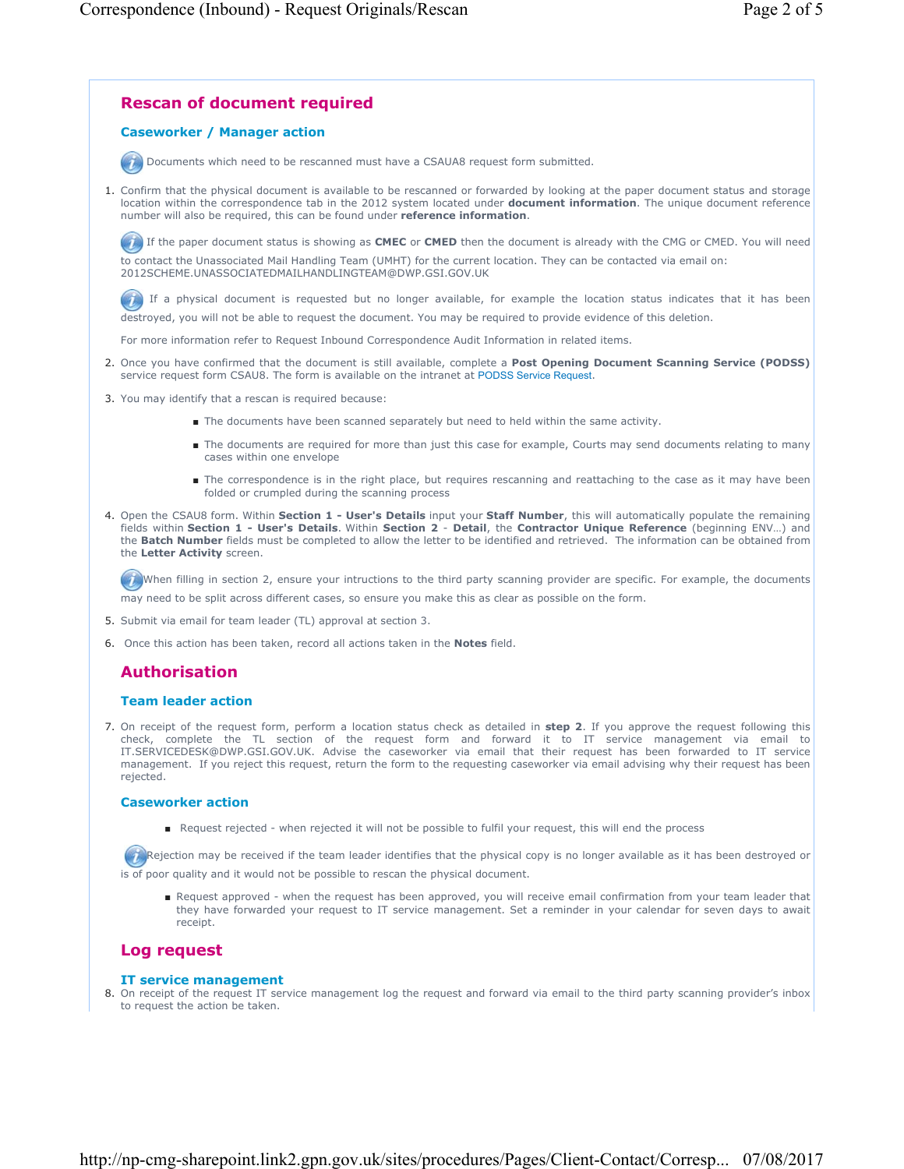

On receipt of the request form, perform a location status check as detailed in **step 2**. If you approve the request following this 7. check, complete the TL section of the request form and forward it to IT service management via email to IT.SERVICEDESK@DWP.GSI.GOV.UK. Advise the caseworker via email that their request has been forwarded to IT service management. If you reject this request, return the form to the requesting caseworker via email advising why their request has been rejected.

#### **Caseworker action**

■ Request rejected - when rejected it will not be possible to fulfil your request, this will end the process

Rejection may be received if the team leader identifies that the physical copy is no longer available as it has been destroyed or is of poor quality and it would not be possible to rescan the physical document.

■ Request approved - when the request has been approved, you will receive email confirmation from your team leader that they have forwarded your request to IT service management. Set a reminder in your calendar for seven days to await receipt.

### **Log request**

#### **IT service management**

8. On receipt of the request IT service management log the request and forward via email to the third party scanning provider's inbox to request the action be taken.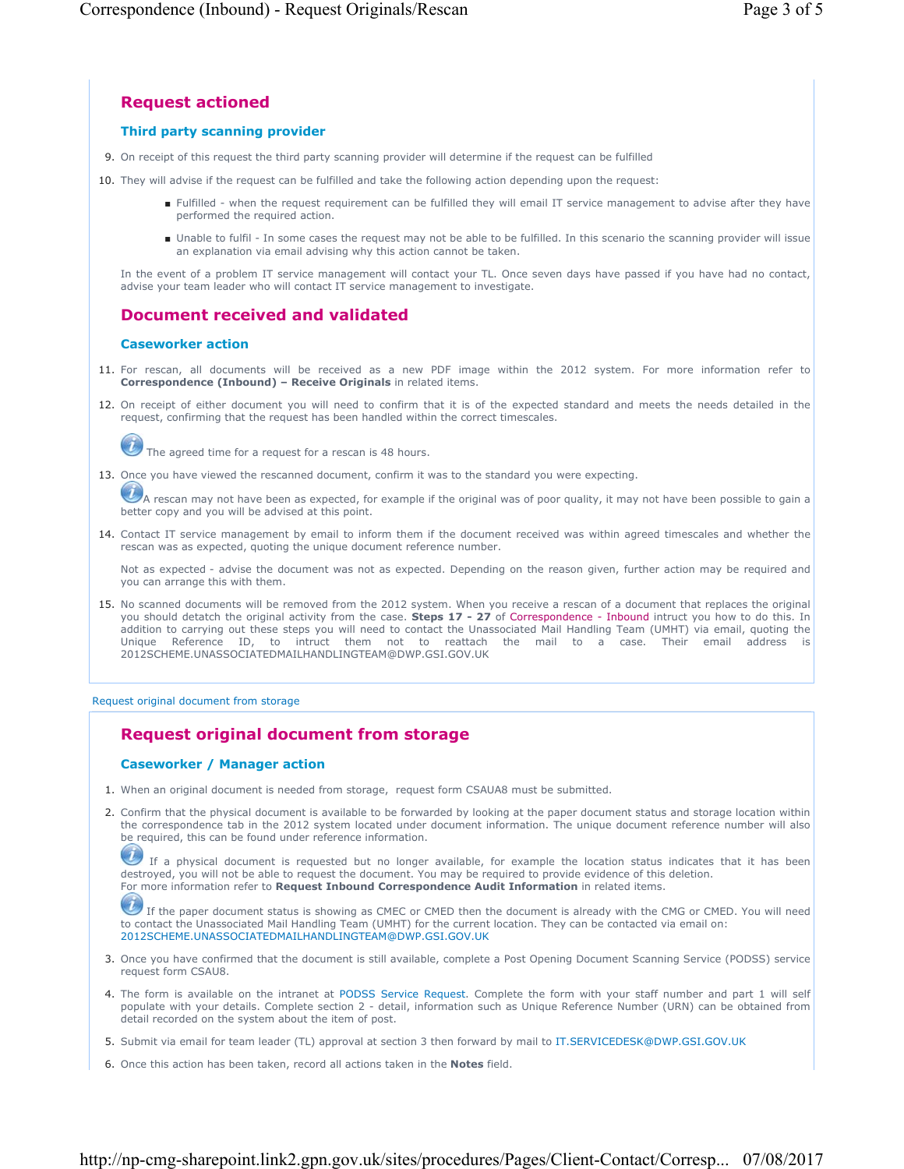# **Request actioned**

## **Third party scanning provider**

- 9. On receipt of this request the third party scanning provider will determine if the request can be fulfilled
- 10. They will advise if the request can be fulfilled and take the following action depending upon the request:
	- Fulfilled when the request requirement can be fulfilled they will email IT service management to advise after they have performed the required action.
	- Unable to fulfil In some cases the request may not be able to be fulfilled. In this scenario the scanning provider will issue an explanation via email advising why this action cannot be taken.

In the event of a problem IT service management will contact your TL. Once seven days have passed if you have had no contact, advise your team leader who will contact IT service management to investigate.

# **Document received and validated**

### **Caseworker action**

- 11. For rescan, all documents will be received as a new PDF image within the 2012 system. For more information refer to **Correspondence (Inbound) – Receive Originals** in related items.
- 12. On receipt of either document you will need to confirm that it is of the expected standard and meets the needs detailed in the request, confirming that the request has been handled within the correct timescales.

The agreed time for a request for a rescan is 48 hours.

13. Once you have viewed the rescanned document, confirm it was to the standard you were expecting.

A rescan may not have been as expected, for example if the original was of poor quality, it may not have been possible to gain a better copy and you will be advised at this point.

14. Contact IT service management by email to inform them if the document received was within agreed timescales and whether the rescan was as expected, quoting the unique document reference number.

Not as expected - advise the document was not as expected. Depending on the reason given, further action may be required and you can arrange this with them.

15. No scanned documents will be removed from the 2012 system. When you receive a rescan of a document that replaces the original you should detatch the original activity from the case. **Steps 17 - 27** of Correspondence - Inbound intruct you how to do this. In addition to carrying out these steps you will need to contact the Unassociated Mail Handling Team (UMHT) via email, quoting the Unique Reference ID, to intruct them not to reattach the mail to a case. Their email address 2012SCHEME.UNASSOCIATEDMAILHANDLINGTEAM@DWP.GSI.GOV.UK

### Request original document from storage

# **Request original document from storage**

## **Caseworker / Manager action**

- 1. When an original document is needed from storage, request form CSAUA8 must be submitted.
- 2. Confirm that the physical document is available to be forwarded by looking at the paper document status and storage location within the correspondence tab in the 2012 system located under document information. The unique document reference number will also be required, this can be found under reference information.

If a physical document is requested but no longer available, for example the location status indicates that it has been destroyed, you will not be able to request the document. You may be required to provide evidence of this deletion. For more information refer to **Request Inbound Correspondence Audit Information** in related items.

 If the paper document status is showing as CMEC or CMED then the document is already with the CMG or CMED. You will need to contact the Unassociated Mail Handling Team (UMHT) for the current location. They can be contacted via email on: 2012SCHEME.UNASSOCIATEDMAILHANDLINGTEAM@DWP.GSI.GOV.UK

- 3. Once you have confirmed that the document is still available, complete a Post Opening Document Scanning Service (PODSS) service request form CSAU8.
- 4. The form is available on the intranet at PODSS Service Request. Complete the form with your staff number and part 1 will self populate with your details. Complete section 2 - detail, information such as Unique Reference Number (URN) can be obtained from detail recorded on the system about the item of post.
- 5. Submit via email for team leader (TL) approval at section 3 then forward by mail to IT.SERVICEDESK@DWP.GSI.GOV.UK
- 6. Once this action has been taken, record all actions taken in the **Notes** field.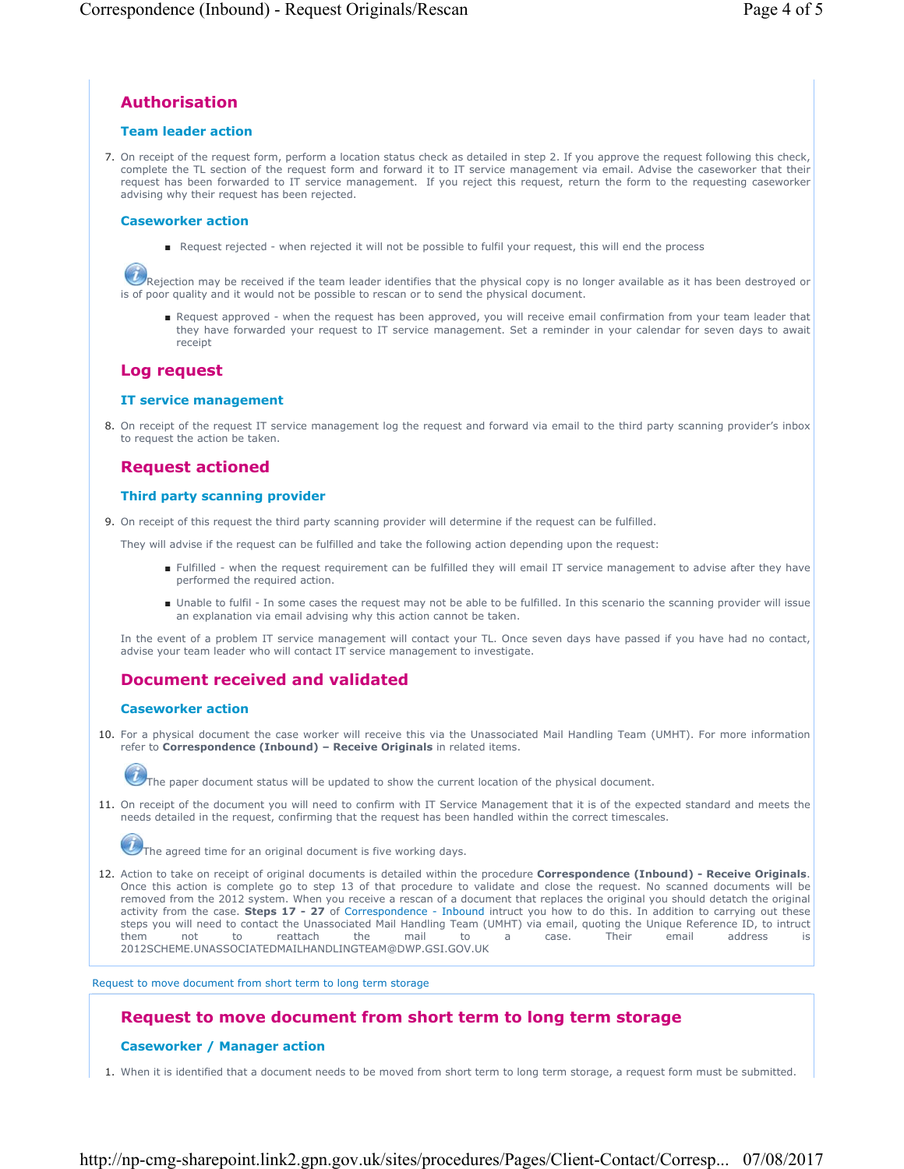# **Authorisation**

### **Team leader action**

7. On receipt of the request form, perform a location status check as detailed in step 2. If you approve the request following this check, complete the TL section of the request form and forward it to IT service management via email. Advise the caseworker that their request has been forwarded to IT service management. If you reject this request, return the form to the requesting caseworker advising why their request has been rejected.

#### **Caseworker action**

■ Request rejected - when rejected it will not be possible to fulfil your request, this will end the process

Rejection may be received if the team leader identifies that the physical copy is no longer available as it has been destroyed or is of poor quality and it would not be possible to rescan or to send the physical document.

■ Request approved - when the request has been approved, you will receive email confirmation from your team leader that they have forwarded your request to IT service management. Set a reminder in your calendar for seven days to await receipt

## **Log request**

#### **IT service management**

8. On receipt of the request IT service management log the request and forward via email to the third party scanning provider's inbox to request the action be taken.

## **Request actioned**

### **Third party scanning provider**

9. On receipt of this request the third party scanning provider will determine if the request can be fulfilled.

They will advise if the request can be fulfilled and take the following action depending upon the request:

- Fulfilled when the request requirement can be fulfilled they will email IT service management to advise after they have performed the required action.
- Unable to fulfil In some cases the request may not be able to be fulfilled. In this scenario the scanning provider will issue an explanation via email advising why this action cannot be taken.

In the event of a problem IT service management will contact your TL. Once seven days have passed if you have had no contact, advise your team leader who will contact IT service management to investigate.

## **Document received and validated**

#### **Caseworker action**

10. For a physical document the case worker will receive this via the Unassociated Mail Handling Team (UMHT). For more information refer to **Correspondence (Inbound) – Receive Originals** in related items.



The paper document status will be updated to show the current location of the physical document.

11. On receipt of the document you will need to confirm with IT Service Management that it is of the expected standard and meets the needs detailed in the request, confirming that the request has been handled within the correct timescales.



12. Action to take on receipt of original documents is detailed within the procedure **Correspondence (Inbound) - Receive Originals**. Once this action is complete go to step 13 of that procedure to validate and close the request. No scanned documents will be removed from the 2012 system. When you receive a rescan of a document that replaces the original you should detatch the original activity from the case. **Steps 17 - 27** of Correspondence - Inbound intruct you how to do this. In addition to carrying out these steps you will need to contact the Unassociated Mail Handling Team (UMHT) via email, quoting the Unique Reference ID, to intruct them not to reattach the mail to a case. Their email address is 2012SCHEME.UNASSOCIATEDMAILHANDLINGTEAM@DWP.GSI.GOV.UK

Request to move document from short term to long term storage

# **Request to move document from short term to long term storage**

## **Caseworker / Manager action**

1. When it is identified that a document needs to be moved from short term to long term storage, a request form must be submitted.